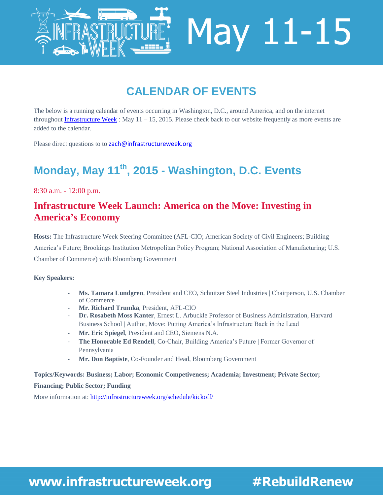

# **CALENDAR OF EVENTS**

The below is a running calendar of events occurring in Washington, D.C., around America, and on the internet throughou[t Infrastructure Week](http://www.infrastructureweek.org/) : May  $11 - 15$ , 2015. Please check back to our website frequently as more events are added to the calendar.

Please direct questions to to [zach@infrastructureweek.org](mailto:zach@infrastructureweek.org)

# **Monday, May 11th, 2015 - Washington, D.C. Events**

8:30 a.m. - 12:00 p.m.

### **[Infrastructure Week Launch: America](http://infrastructureweek.org/schedule/kickoff/) on the Move: Investing in America's Economy**

**Hosts:** The Infrastructure Week Steering Committee (AFL-CIO; American Society of Civil Engineers; Building America's Future; Brookings Institution Metropolitan Policy Program; National Association of Manufacturing; U.S. Chamber of Commerce) with Bloomberg Government

#### **Key Speakers:**

- **Ms. Tamara Lundgren**, President and CEO, Schnitzer Steel Industries | Chairperson, U.S. Chamber of Commerce
- **Mr. Richard Trumka**, President, AFL-CIO
- **Dr. Rosabeth Moss Kanter**, Ernest L. Arbuckle Professor of Business Administration, Harvard Business School | Author, Move: Putting America's Infrastructure Back in the Lead
- **Mr. Eric Spiegel**, President and CEO, Siemens N.A.
- **The Honorable Ed Rendell**, Co-Chair, Building America's Future | Former Governor of Pennsylvania
- **Mr. Don Baptiste**, Co-Founder and Head, Bloomberg Government

**Topics/Keywords: Business; Labor; Economic Competiveness; Academia; Investment; Private Sector; Financing; Public Sector; Funding** More information at: <http://infrastructureweek.org/schedule/kickoff/>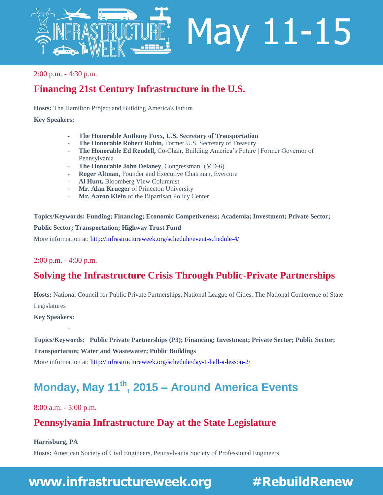

#### 2:00 p.m. - 4:30 p.m.

## **[Financing 21st Century Infrastructure in the U.S.](http://infrastructureweek.org/schedule/event-schedule-4/)**

**Hosts:** The Hamilton Project and Building America's Future

#### **Key Speakers:**

- **The Honorable Anthony Foxx, U.S. Secretary of Transportation**
- The Honorable Robert Rubin, Former U.S. Secretary of Treasury
- **The Honorable Ed Rendell,** Co-Chair, Building America's Future | Former Governor of Pennsylvania
- **The Honorable John Delaney**, Congressman (MD-6)
- **Roger Altman,** Founder and Executive Chairman, Evercore
- **Al Hunt,** Bloomberg View Columnist
- **Mr. Alan Krueger** of Princeton University
- Mr. Aaron Klein of the Bipartisan Policy Center.

**Topics/Keywords: Funding; Financing; Economic Competiveness; Academia; Investment; Private Sector; Public Sector; Transportation; Highway Trust Fund**  More information at[: http://infrastructureweek.org/schedule/event-schedule-4/](http://infrastructureweek.org/schedule/event-schedule-4/)

#### 2:00 p.m. - 4:00 p.m.

# **[Solving the Infrastructure Crisis Through Public-Private Partnerships](http://infrastructureweek.org/schedule/day-1-hall-a-lesson-2/)**

**Hosts:** National Council for Public Private Partnerships, National League of Cities, The National Conference of State Legislatures

**Key Speakers:**

-

**Topics/Keywords: Public Private Partnerships (P3); Financing; Investment; Private Sector; Public Sector; Transportation; Water and Wastewater; Public Buildings** More information at[: http://infrastructureweek.org/schedule/day-1-hall-a-lesson-2/](http://infrastructureweek.org/schedule/day-1-hall-a-lesson-2/)

# **Monday, May 11th, 2015 – Around America Events**

8:00 a.m. - 5:00 p.m.

## **[Pennsylvania Infrastructure Day at the State Legislature](http://infrastructureweek.org/schedule/pennsylvania-infrastructure-day-at-the-state-legislature/)**

**Harrisburg, PA**

**Hosts:** American Society of Civil Engineers, Pennsylvania Society of Professional Engineers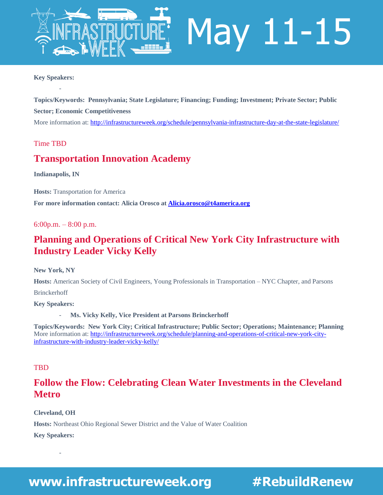

#### **Key Speakers:**

-

**Topics/Keywords: Pennsylvania; State Legislature; Financing; Funding; Investment; Private Sector; Public Sector; Economic Competitiveness**  More information at[: http://infrastructureweek.org/schedule/pennsylvania-infrastructure-day-at-the-state-legislature/](http://infrastructureweek.org/schedule/pennsylvania-infrastructure-day-at-the-state-legislature/)

#### Time TBD

#### **[Transportation Innovation Academy](http://infrastructureweek.org/schedule/event-new-7/)**

**Indianapolis, IN**

**Hosts:** Transportation for America **For more information contact: Alicia Orosco at [Alicia.orosco@t4america.org](mailto:Alicia.orosco@t4america.org)**

6:00p.m.  $-8:00$  p.m.

#### **[Planning](http://infrastructureweek.org/schedule/event-new-7/) and Operations of Critical New York City Infrastructure with Industry Leader Vicky Kelly**

**New York, NY**

**Hosts:** American Society of Civil Engineers, Young Professionals in Transportation – NYC Chapter, and Parsons

Brinckerhoff

**Key Speakers:**

Ms. Vicky Kelly, Vice President at Parsons Brinckerhoff

**Topics/Keywords: New York City; Critical Infrastructure; Public Sector; Operations; Maintenance; Planning** More information at[: http://infrastructureweek.org/schedule/planning-and-operations-of-critical-new-york-city](http://infrastructureweek.org/schedule/planning-and-operations-of-critical-new-york-city-infrastructure-with-industry-leader-vicky-kelly/)[infrastructure-with-industry-leader-vicky-kelly/](http://infrastructureweek.org/schedule/planning-and-operations-of-critical-new-york-city-infrastructure-with-industry-leader-vicky-kelly/)

#### **TBD**

## **[Follow the Flow: Celebrating Clean Water Investments in the Cleveland](http://infrastructureweek.org/schedule/follow-the-flow-celebrating-clean-water-investments-in-the-cleveland-metro/)  [Metro](http://infrastructureweek.org/schedule/follow-the-flow-celebrating-clean-water-investments-in-the-cleveland-metro/)**

**Cleveland, OH**

**Hosts:** Northeast Ohio Regional Sewer District and the Value of Water Coalition

**Key Speakers:**

-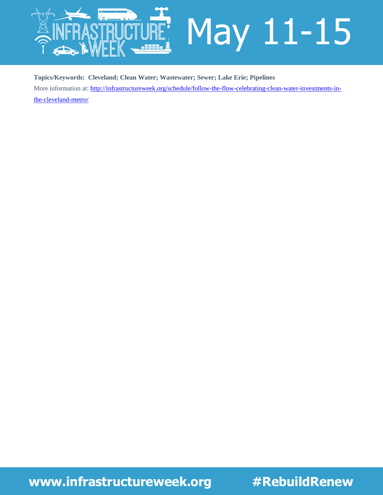

**Topics/Keywords: Cleveland; Clean Water; Wastewater; Sewer; Lake Erie; Pipelines** More information at[: http://infrastructureweek.org/schedule/follow-the-flow-celebrating-clean-water-investments-in-](http://infrastructureweek.org/schedule/follow-the-flow-celebrating-clean-water-investments-in-the-cleveland-metro/)

[the-cleveland-metro/](http://infrastructureweek.org/schedule/follow-the-flow-celebrating-clean-water-investments-in-the-cleveland-metro/)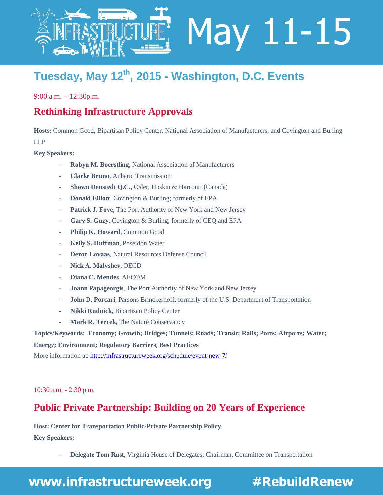

# **Tuesday, May 12th, 2015 - Washington, D.C. Events**

9:00 a.m. – 12:30p.m.

### **[Rethinking Infrastructure Approvals](http://infrastructureweek.org/schedule/event-new-7/)**

**Hosts:** Common Good, Bipartisan Policy Center, National Association of Manufacturers, and Covington and Burling LLP

#### **Key Speakers:**

- **Robyn M. Boerstling**, National Association of Manufacturers
- **Clarke Bruno**, Anbaric Transmission
- **Shawn Denstedt Q.C.**, Osler, Hoskin & Harcourt (Canada)
- **Donald Elliott**, Covington & Burling; formerly of EPA
- Patrick J. Foye, The Port Authority of New York and New Jersey
- Gary S. Guzy, Covington & Burling; formerly of CEQ and EPA
- Philip K. Howard, Common Good
- **Kelly S. Huffman**, Poseidon Water
- Deron Lovaas, Natural Resources Defense Council
- **Nick A. Malyshev***,* OECD
- **Diana C. Mendes**, AECOM
- **Joann Papageorgis**, The Port Authority of New York and New Jersey
- **John D. Porcari**, Parsons Brinckerhoff; formerly of the U.S. Department of Transportation
- **Nikki Rudnick**, Bipartisan Policy Center
- Mark R. Tercek, The Nature Conservancy

**Topics/Keywords: Economy; Growth; Bridges; Tunnels; Roads; Transit; Rails; Ports; Airports; Water;** 

**Energy; Environment; Regulatory Barriers; Best Practices**

More information at[: http://infrastructureweek.org/schedule/event-new-7/](http://infrastructureweek.org/schedule/event-new-7/)

10:30 a.m. - 2:30 p.m.

#### **[Public Private Partnership: Building on 20 Years of Experience](http://infrastructureweek.org/schedule/public-private-partnership-building-on-20-years-of-experience/)**

**Host: Center for Transportation Public-Private Partnership Policy Key Speakers:**

- **Delegate Tom Rust**, Virginia House of Delegates; Chairman, Committee on Transportation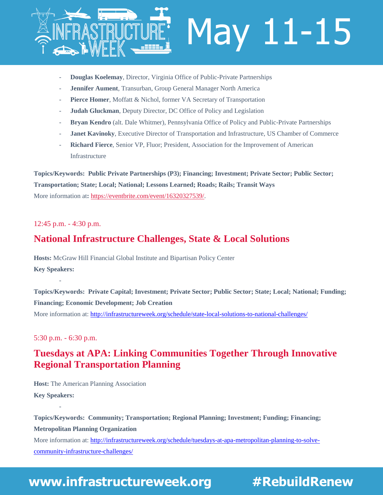

- **Douglas Koelemay**, Director, Virginia Office of Public-Private Partnerships
- Jennifer Aument, Transurban, Group General Manager North America
- Pierce Homer, Moffatt & Nichol, former VA Secretary of Transportation
- **Judah Gluckman**, Deputy Director, DC Office of Policy and Legislation
- **Bryan Kendro** (alt. Dale Whitmer), Pennsylvania Office of Policy and Public-Private Partnerships
- Janet Kavinoky, Executive Director of Transportation and Infrastructure, US Chamber of Commerce
- **Richard Fierce**, Senior VP, Fluor; President, Association for the Improvement of American Infrastructure

**Topics/Keywords: Public Private Partnerships (P3); Financing; Investment; Private Sector; Public Sector; Transportation; State; Local; National; Lessons Learned; Roads; Rails; Transit Ways** More information at: [https://eventbrite.com/event/16320327539/.](https://eventbrite.com/event/16320327539/?utm_source=eb_email&utm_medium=email&utm_campaign=new_event_email&utm_term=eventurl_text)

#### 12:45 p.m. - 4:30 p.m.

#### **[National Infrastructure Challenges, State & Local Solutions](http://infrastructureweek.org/schedule/state-local-solutions-to-national-challenges/)**

**Hosts:** McGraw Hill Financial Global Institute and Bipartisan Policy Center **Key Speakers:**

**Topics/Keywords: Private Capital; Investment; Private Sector; Public Sector; State; Local; National; Funding; Financing; Economic Development; Job Creation** More information at[: http://infrastructureweek.org/schedule/state-local-solutions-to-national-challenges/](http://infrastructureweek.org/schedule/state-local-solutions-to-national-challenges/)

#### 5:30 p.m. - 6:30 p.m.

-

-

## **[Tuesdays at APA: Linking Communities Together Through Innovative](http://infrastructureweek.org/schedule/tuesdays-at-apa-metropolitan-planning-to-solve-community-infrastructure-challenges/)  [Regional Transportation Planning](http://infrastructureweek.org/schedule/tuesdays-at-apa-metropolitan-planning-to-solve-community-infrastructure-challenges/)**

**Host:** The American Planning Association **Key Speakers:** 

**Topics/Keywords: Community; Transportation; Regional Planning; Investment; Funding; Financing; Metropolitan Planning Organization** More information at[: http://infrastructureweek.org/schedule/tuesdays-at-apa-metropolitan-planning-to-solve](http://infrastructureweek.org/schedule/tuesdays-at-apa-metropolitan-planning-to-solve-community-infrastructure-challenges/)[community-infrastructure-challenges/](http://infrastructureweek.org/schedule/tuesdays-at-apa-metropolitan-planning-to-solve-community-infrastructure-challenges/)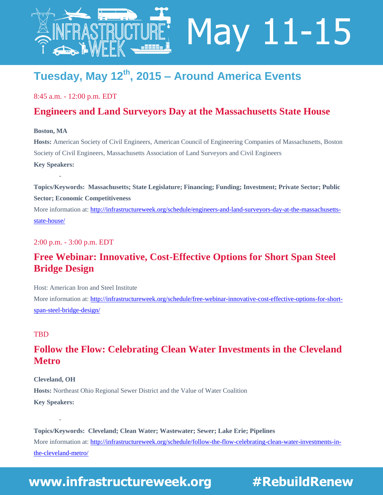

# **Tuesday, May 12th, 2015 – Around America Events**

8:45 a.m. - 12:00 p.m. EDT

#### **[Engineers and Land Surveyors Day at the Massachusetts State House](http://infrastructureweek.org/schedule/engineers-and-land-surveyors-day-at-the-massachusetts-state-house/)**

May 11-15

#### **Boston, MA**

-

**Hosts:** American Society of Civil Engineers, American Council of Engineering Companies of Massachusetts, Boston Society of Civil Engineers, Massachusetts Association of Land Surveyors and Civil Engineers **Key Speakers:** 

**Topics/Keywords: Massachusetts; State Legislature; Financing; Funding; Investment; Private Sector; Public Sector; Economic Competitiveness**

More information at[: http://infrastructureweek.org/schedule/engineers-and-land-surveyors-day-at-the-massachusetts](http://infrastructureweek.org/schedule/engineers-and-land-surveyors-day-at-the-massachusetts-state-house/)[state-house/](http://infrastructureweek.org/schedule/engineers-and-land-surveyors-day-at-the-massachusetts-state-house/)

2:00 p.m. - 3:00 p.m. EDT

## **[Free Webinar: Innovative, Cost-Effective Options for Short Span Steel](http://infrastructureweek.org/schedule/free-webinar-innovative-cost-effective-options-for-short-span-steel-bridge-design/)  [Bridge Design](http://infrastructureweek.org/schedule/free-webinar-innovative-cost-effective-options-for-short-span-steel-bridge-design/)**

Host: American Iron and Steel Institute

More information at[: http://infrastructureweek.org/schedule/free-webinar-innovative-cost-effective-options-for-short](http://infrastructureweek.org/schedule/free-webinar-innovative-cost-effective-options-for-short-span-steel-bridge-design/)[span-steel-bridge-design/](http://infrastructureweek.org/schedule/free-webinar-innovative-cost-effective-options-for-short-span-steel-bridge-design/)

#### **TBD**

## **[Follow the Flow: Celebrating Clean Water Investments in the Cleveland](http://infrastructureweek.org/schedule/follow-the-flow-celebrating-clean-water-investments-in-the-cleveland-metro/)  [Metro](http://infrastructureweek.org/schedule/follow-the-flow-celebrating-clean-water-investments-in-the-cleveland-metro/)**

#### **Cleveland, OH**

-

**Hosts:** Northeast Ohio Regional Sewer District and the Value of Water Coalition **Key Speakers:**

**Topics/Keywords: Cleveland; Clean Water; Wastewater; Sewer; Lake Erie; Pipelines** More information at[: http://infrastructureweek.org/schedule/follow-the-flow-celebrating-clean-water-investments-in](http://infrastructureweek.org/schedule/follow-the-flow-celebrating-clean-water-investments-in-the-cleveland-metro/)[the-cleveland-metro/](http://infrastructureweek.org/schedule/follow-the-flow-celebrating-clean-water-investments-in-the-cleveland-metro/)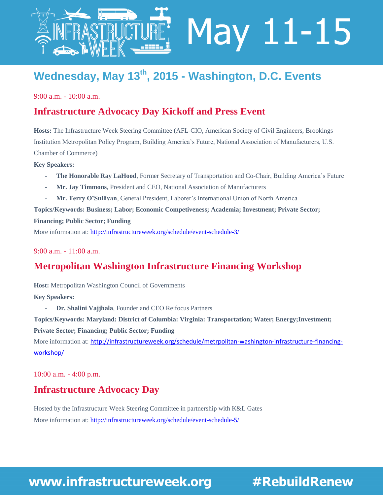

# **Wednesday, May 13th, 2015 - Washington, D.C. Events**

May 11-15

9:00 a.m. - 10:00 a.m.

#### **[Infrastructure Advocacy Day Kickoff and Press Event](http://infrastructureweek.org/schedule/event-schedule-3/)**

**Hosts:** The Infrastructure Week Steering Committee (AFL-CIO, American Society of Civil Engineers, Brookings Institution Metropolitan Policy Program, Building America's Future, National Association of Manufacturers, U.S. Chamber of Commerce)

**Key Speakers:** 

- The Honorable Ray LaHood, Former Secretary of Transportation and Co-Chair, Building America's Future
- **Mr. Jay Timmons**, President and CEO, National Association of Manufacturers
- **Mr. Terry O'Sullivan**, General President, Laborer's International Union of North America

**Topics/Keywords: Business; Labor; Economic Competiveness; Academia; Investment; Private Sector;** 

**Financing; Public Sector; Funding**

More information at[: http://infrastructureweek.org/schedule/event-schedule-3/](http://infrastructureweek.org/schedule/event-schedule-3/)

9:00 a.m. - 11:00 a.m.

#### **[Metropolitan Washington Infrastructure Financing Workshop](http://infrastructureweek.org/schedule/metrpolitan-washington-infrastructure-financing-workshop/)**

**Host:** Metropolitan Washington Council of Governments

**Key Speakers:**

- **Dr. Shalini Vajjhala**, Founder and CEO Re:focus Partners

**Topics/Keywords: Maryland: District of Columbia: Virginia: Transportation; Water; Energy;Investment;** 

**Private Sector; Financing; Public Sector; Funding**

More information at: [http://infrastructureweek.org/schedule/metrpolitan-washington-infrastructure-financing](http://infrastructureweek.org/schedule/metrpolitan-washington-infrastructure-financing-workshop/)[workshop/](http://infrastructureweek.org/schedule/metrpolitan-washington-infrastructure-financing-workshop/)

10:00 a.m. - 4:00 p.m.

#### **[Infrastructure Advocacy Day](http://infrastructureweek.org/schedule/event-schedule-5/)**

Hosted by the Infrastructure Week Steering Committee in partnership with K&L Gates More information at[: http://infrastructureweek.org/schedule/event-schedule-5/](http://infrastructureweek.org/schedule/event-schedule-5/)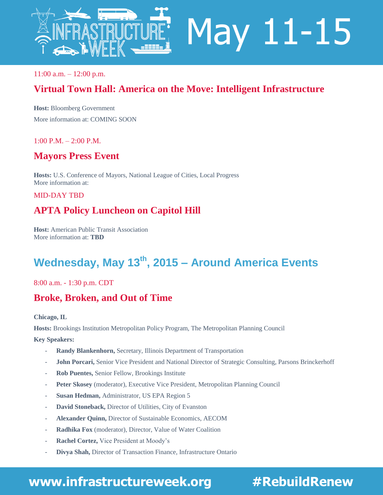

 $11:00$  a.m.  $-12:00$  p.m.

## **Virtual Town Hall: America on the Move: Intelligent Infrastructure**

**Host:** Bloomberg Government More information at: COMING SOON

#### 1:00 P.M. – 2:00 P.M.

#### **[Mayors Press Event](http://infrastructureweek.org/schedule/metrpolitan-washington-infrastructure-financing-workshop/)**

**Hosts:** U.S. Conference of Mayors, National League of Cities, Local Progress More information at:

MID-DAY TBD

## **[APTA](http://infrastructureweek.org/schedule/metrpolitan-washington-infrastructure-financing-workshop/) Policy Luncheon on Capitol Hill**

**Host:** American Public Transit Association More information at: **TBD**

# **Wednesday, May 13th, 2015 – Around America Events**

8:00 a.m. - 1:30 p.m. CDT

#### **[Broke, Broken, and Out of Time](http://infrastructureweek.org/schedule/brookings-metropolitan-policy-program-and-the-metropolitan-planning-council-present/)**

**Chicago, IL**

**Hosts:** Brookings Institution Metropolitan Policy Program, The Metropolitan Planning Council

**Key Speakers:**

- **Randy Blankenhorn,** Secretary, Illinois Department of Transportation
- John Porcari, Senior Vice President and National Director of Strategic Consulting, Parsons Brinckerhoff
- **Rob Puentes,** Senior Fellow, Brookings Institute
- Peter Skosey (moderator), Executive Vice President, Metropolitan Planning Council
- **Susan Hedman,** Administrator, US EPA Region 5
- David Stoneback, Director of Utilities, City of Evanston
- **Alexander Quinn,** Director of Sustainable Economics, AECOM
- **Radhika Fox** (moderator), Director, Value of Water Coalition
- Rachel Cortez, Vice President at Moody's
- **Divya Shah,** Director of Transaction Finance, Infrastructure Ontario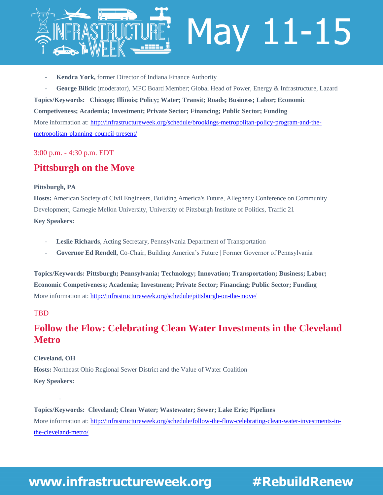

- Kendra York, former Director of Indiana Finance Authority
- George Bilicic (moderator), MPC Board Member; Global Head of Power, Energy & Infrastructure, Lazard

**Topics/Keywords: Chicago; Illinois; Policy; Water; Transit; Roads; Business; Labor; Economic Competiveness; Academia; Investment; Private Sector; Financing; Public Sector; Funding** More information at[: http://infrastructureweek.org/schedule/brookings-metropolitan-policy-program-and-the](http://infrastructureweek.org/schedule/brookings-metropolitan-policy-program-and-the-metropolitan-planning-council-present/)[metropolitan-planning-council-present/](http://infrastructureweek.org/schedule/brookings-metropolitan-policy-program-and-the-metropolitan-planning-council-present/)

#### 3:00 p.m. - 4:30 p.m. EDT

#### **[Pittsburgh on the Move](http://infrastructureweek.org/schedule/pittsburgh-on-the-move/)**

#### **Pittsburgh, PA**

**Hosts:** American Society of Civil Engineers, Building America's Future, Allegheny Conference on Community Development, Carnegie Mellon University, University of Pittsburgh Institute of Politics, Traffic 21 **Key Speakers:**

- Leslie Richards, Acting Secretary, Pennsylvania Department of Transportation
- **Governor Ed Rendell**, Co-Chair, Building America's Future | Former Governor of Pennsylvania

**Topics/Keywords: Pittsburgh; Pennsylvania; Technology; Innovation; Transportation; Business; Labor; Economic Competiveness; Academia; Investment; Private Sector; Financing; Public Sector; Funding** More information at[: http://infrastructureweek.org/schedule/pittsburgh-on-the-move/](http://infrastructureweek.org/schedule/pittsburgh-on-the-move/)

#### **TBD**

#### **[Follow the Flow: Celebrating Clean Water Investments in the Cleveland](http://infrastructureweek.org/schedule/follow-the-flow-celebrating-clean-water-investments-in-the-cleveland-metro/)  [Metro](http://infrastructureweek.org/schedule/follow-the-flow-celebrating-clean-water-investments-in-the-cleveland-metro/)**

#### **Cleveland, OH**

-

**Hosts:** Northeast Ohio Regional Sewer District and the Value of Water Coalition **Key Speakers:**

**Topics/Keywords: Cleveland; Clean Water; Wastewater; Sewer; Lake Erie; Pipelines** More information at[: http://infrastructureweek.org/schedule/follow-the-flow-celebrating-clean-water-investments-in](http://infrastructureweek.org/schedule/follow-the-flow-celebrating-clean-water-investments-in-the-cleveland-metro/)[the-cleveland-metro/](http://infrastructureweek.org/schedule/follow-the-flow-celebrating-clean-water-investments-in-the-cleveland-metro/)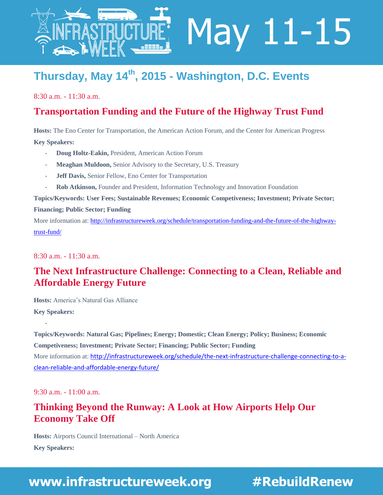

# **Thursday, May 14th, 2015 - Washington, D.C. Events**

8:30 a.m. - 11:30 a.m.

#### **[Transportation Funding and the Future of the Highway Trust Fund](http://infrastructureweek.org/schedule/transportation-funding-and-the-future-of-the-highway-trust-fund/)**

May 11-15

**Hosts:** The Eno Center for Transportation, the American Action Forum, and the Center for American Progress **Key Speakers:** 

- **Doug Holtz-Eakin,** President, American Action Forum
- Meaghan Muldoon, Senior Advisory to the Secretary, U.S. Treasury
- **Jeff Davis, Senior Fellow, Eno Center for Transportation**
- **Rob Atkinson,** Founder and President, Information Technology and Innovation Foundation

**Topics/Keywords: User Fees; Sustainable Revenues; Economic Competiveness; Investment; Private Sector; Financing; Public Sector; Funding**

More information at[: http://infrastructureweek.org/schedule/transportation-funding-and-the-future-of-the-highway](http://infrastructureweek.org/schedule/transportation-funding-and-the-future-of-the-highway-trust-fund/)[trust-fund/](http://infrastructureweek.org/schedule/transportation-funding-and-the-future-of-the-highway-trust-fund/)

8:30 a.m. - 11:30 a.m.

## **The Next Infrastructure Challenge: Connecting to a Clean, Reliable and Affordable Energy Future**

**Hosts:** America's Natural Gas Alliance **Key Speakers:** 

**Topics/Keywords: Natural Gas; Pipelines; Energy; Domestic; Clean Energy; Policy; Business; Economic Competiveness; Investment; Private Sector; Financing; Public Sector; Funding** More information at: [http://infrastructureweek.org/schedule/the-next-infrastructure-challenge-connecting-to-a](http://infrastructureweek.org/schedule/the-next-infrastructure-challenge-connecting-to-a-clean-reliable-and-affordable-energy-future/)[clean-reliable-and-affordable-energy-future/](http://infrastructureweek.org/schedule/the-next-infrastructure-challenge-connecting-to-a-clean-reliable-and-affordable-energy-future/)

9:30 a.m. - 11:00 a.m.

#### **Thinking Beyond the Runway: A Look at How Airports Help Our Economy Take Off**

**Hosts:** Airports Council International – North America

**Key Speakers:** 

-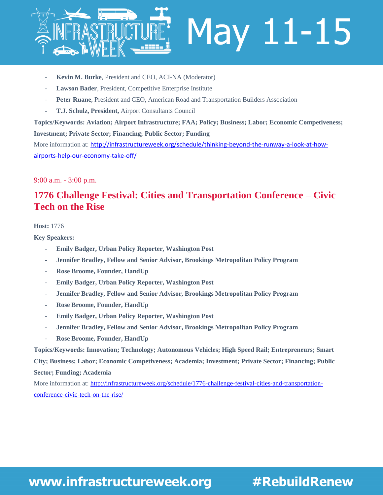

- **Kevin M. Burke**, President and CEO, ACI-NA (Moderator)
- Lawson Bader, President, Competitive Enterprise Institute
- Peter Ruane, President and CEO, American Road and Transportation Builders Association
- **T.J. Schulz, President,** Airport Consultants Council

#### **Topics/Keywords: Aviation; Airport Infrastructure; FAA; Policy; Business; Labor; Economic Competiveness; Investment; Private Sector; Financing; Public Sector; Funding**

More information at: [http://infrastructureweek.org/schedule/thinking-beyond-the-runway-a-look-at-how](http://infrastructureweek.org/schedule/thinking-beyond-the-runway-a-look-at-how-airports-help-our-economy-take-off/)[airports-help-our-economy-take-off/](http://infrastructureweek.org/schedule/thinking-beyond-the-runway-a-look-at-how-airports-help-our-economy-take-off/)

#### 9:00 a.m. - 3:00 p.m.

## **[1776 Challenge Festival: Cities and Transportation Conference –](http://infrastructureweek.org/schedule/1776-challenge-festival-cities-and-transportation-conference-civic-tech-on-the-rise/) Civic [Tech on the Rise](http://infrastructureweek.org/schedule/1776-challenge-festival-cities-and-transportation-conference-civic-tech-on-the-rise/)**

#### **Host:** 1776

**Key Speakers:** 

- **Emily Badger, Urban Policy Reporter, Washington Post**
- **Jennifer Bradley, Fellow and Senior Advisor, Brookings Metropolitan Policy Program**
- **Rose Broome, Founder, HandUp**
- **Emily Badger, Urban Policy Reporter, Washington Post**
- **Jennifer Bradley, Fellow and Senior Advisor, Brookings Metropolitan Policy Program**
- **Rose Broome, Founder, HandUp**
- **Emily Badger, Urban Policy Reporter, Washington Post**
- **Jennifer Bradley, Fellow and Senior Advisor, Brookings Metropolitan Policy Program**
- **Rose Broome, Founder, HandUp**

**Topics/Keywords: Innovation; Technology; Autonomous Vehicles; High Speed Rail; Entrepreneurs; Smart City; Business; Labor; Economic Competiveness; Academia; Investment; Private Sector; Financing; Public Sector; Funding; Academia**

More information at[: http://infrastructureweek.org/schedule/1776-challenge-festival-cities-and-transportation](http://infrastructureweek.org/schedule/1776-challenge-festival-cities-and-transportation-conference-civic-tech-on-the-rise/)[conference-civic-tech-on-the-rise/](http://infrastructureweek.org/schedule/1776-challenge-festival-cities-and-transportation-conference-civic-tech-on-the-rise/)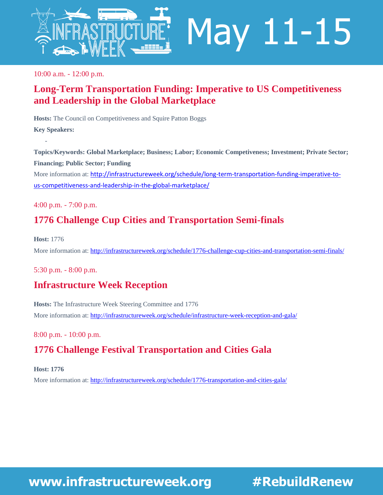

10:00 a.m. - 12:00 p.m.

## **Long-Term Transportation Funding: Imperative to US Competitiveness and Leadership in the Global Marketplace**

**Hosts:** The Council on Competitiveness and Squire Patton Boggs **Key Speakers:** 

**Topics/Keywords: Global Marketplace; Business; Labor; Economic Competiveness; Investment; Private Sector; Financing; Public Sector; Funding** More information at: [http://infrastructureweek.org/schedule/long-term-transportation-funding-imperative-to](http://infrastructureweek.org/schedule/long-term-transportation-funding-imperative-to-us-competitiveness-and-leadership-in-the-global-marketplace/)[us-competitiveness-and-leadership-in-the-global-marketplace/](http://infrastructureweek.org/schedule/long-term-transportation-funding-imperative-to-us-competitiveness-and-leadership-in-the-global-marketplace/)

4:00 p.m. - 7:00 p.m.

-

## **[1776 Challenge Cup Cities and Transportation Semi-finals](http://infrastructureweek.org/schedule/1776-challenge-cup-cities-and-transportation-semi-finals/)**

**Host:** 1776 More information at[: http://infrastructureweek.org/schedule/1776-challenge-cup-cities-and-transportation-semi-finals/](http://infrastructureweek.org/schedule/1776-challenge-cup-cities-and-transportation-semi-finals/)

5:30 p.m. - 8:00 p.m.

## **[Infrastructure Week Reception](http://infrastructureweek.org/schedule/infrastructure-week-reception-and-gala/)**

**Hosts:** The Infrastructure Week Steering Committee and 1776 More information at[: http://infrastructureweek.org/schedule/infrastructure-week-reception-and-gala/](http://infrastructureweek.org/schedule/infrastructure-week-reception-and-gala/)

8:00 p.m. - 10:00 p.m.

# **[1776 Challenge Festival Transportation and Cities Gala](http://infrastructureweek.org/schedule/1776-transportation-and-cities-gala/)**

**Host: 1776**

More information at[: http://infrastructureweek.org/schedule/1776-transportation-and-cities-gala/](http://infrastructureweek.org/schedule/1776-transportation-and-cities-gala/)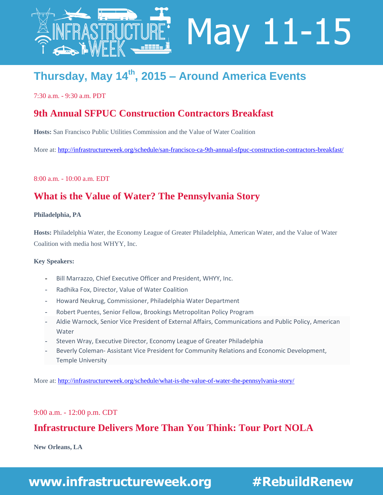

# **Thursday, May 14th, 2015 – Around America Events**

7:30 a.m. - 9:30 a.m. PDT

#### **[9th Annual SFPUC Construction Contractors Breakfast](http://infrastructureweek.org/schedule/san-francisco-ca-9th-annual-sfpuc-construction-contractors-breakfast/)**

**Hosts:** San Francisco Public Utilities Commission and the Value of Water Coalition

More at:<http://infrastructureweek.org/schedule/san-francisco-ca-9th-annual-sfpuc-construction-contractors-breakfast/>

May 11-15

8:00 a.m. - 10:00 a.m. EDT

## **[What is the Value of Water? The Pennsylvania Story](http://infrastructureweek.org/schedule/what-is-the-value-of-water-the-pennsylvania-story/)**

#### **Philadelphia, PA**

**Hosts:** Philadelphia Water, the Economy League of Greater Philadelphia, American Water, and the Value of Water Coalition with media host WHYY, Inc.

#### **Key Speakers:**

- **-** Bill Marrazzo, Chief Executive Officer and President, WHYY, Inc.
- **-** Radhika Fox, Director, Value of Water Coalition
- **-** Howard Neukrug, Commissioner, Philadelphia Water Department
- **-** Robert Puentes, Senior Fellow, Brookings Metropolitan Policy Program
- **-** Aldie Warnock, Senior Vice President of External Affairs, Communications and Public Policy, American Water
- **-** Steven Wray, Executive Director, Economy League of Greater Philadelphia
- **-** Beverly Coleman- Assistant Vice President for Community Relations and Economic Development, Temple University

More at: <http://infrastructureweek.org/schedule/what-is-the-value-of-water-the-pennsylvania-story/>

#### 9:00 a.m. - 12:00 p.m. CDT

#### **[Infrastructure Delivers More Than You Think: Tour Port NOLA](http://infrastructureweek.org/schedule/port-infrastructure-delivers-more-than-you-think/)**

**New Orleans, LA**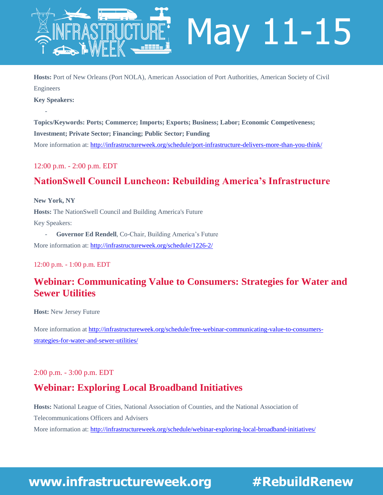

**Hosts:** Port of New Orleans (Port NOLA), American Association of Port Authorities, American Society of Civil Engineers

**Key Speakers:** 

-

**Topics/Keywords: Ports; Commerce; Imports; Exports; Business; Labor; Economic Competiveness; Investment; Private Sector; Financing; Public Sector; Funding** More information at[: http://infrastructureweek.org/schedule/port-infrastructure-delivers-more-than-you-think/](http://infrastructureweek.org/schedule/port-infrastructure-delivers-more-than-you-think/)

#### 12:00 p.m. - 2:00 p.m. EDT

## **[NationSwell Council Luncheon: Rebuilding America's Infrastructure](http://infrastructureweek.org/schedule/1226-2/)**

**New York, NY Hosts:** The NationSwell Council and Building America's Future Key Speakers:

- **Governor Ed Rendell**, Co-Chair, Building America's Future More information at[: http://infrastructureweek.org/schedule/1226-2/](http://infrastructureweek.org/schedule/1226-2/)

12:00 p.m. - 1:00 p.m. EDT

## **[Webinar: Communicating Value to Consumers: Strategies for Water and](http://infrastructureweek.org/schedule/free-webinar-communicating-value-to-consumers-strategies-for-water-and-sewer-utilities/)  [Sewer Utilities](http://infrastructureweek.org/schedule/free-webinar-communicating-value-to-consumers-strategies-for-water-and-sewer-utilities/)**

**Host:** New Jersey Future

More information at [http://infrastructureweek.org/schedule/free-webinar-communicating-value-to-consumers](http://infrastructureweek.org/schedule/free-webinar-communicating-value-to-consumers-strategies-for-water-and-sewer-utilities/)[strategies-for-water-and-sewer-utilities/](http://infrastructureweek.org/schedule/free-webinar-communicating-value-to-consumers-strategies-for-water-and-sewer-utilities/)

#### 2:00 p.m. - 3:00 p.m. EDT

#### **[Webinar: Exploring Local Broadband Initiatives](http://infrastructureweek.org/schedule/webinar-exploring-local-broadband-initiatives/)**

**Hosts:** National League of Cities, National Association of Counties, and the National Association of Telecommunications Officers and Advisers More information at[: http://infrastructureweek.org/schedule/webinar-exploring-local-broadband-initiatives/](http://infrastructureweek.org/schedule/webinar-exploring-local-broadband-initiatives/)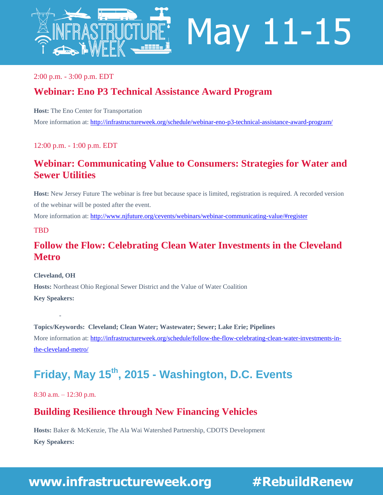

2:00 p.m. - 3:00 p.m. EDT

## **[Webinar: Eno P3 Technical Assistance Award Program](http://infrastructureweek.org/schedule/webinar-eno-p3-technical-assistance-award-program/)**

**Host:** The Eno Center for Transportation

More information at: <http://infrastructureweek.org/schedule/webinar-eno-p3-technical-assistance-award-program/>

12:00 p.m. - 1:00 p.m. EDT

#### **[Webinar: Communicating Value to Consumers: Strategies for Water and](http://infrastructureweek.org/schedule/free-webinar-communicating-value-to-consumers-strategies-for-water-and-sewer-utilities/)  [Sewer Utilities](http://infrastructureweek.org/schedule/free-webinar-communicating-value-to-consumers-strategies-for-water-and-sewer-utilities/)**

**Host:** New Jersey Future The webinar is free but because space is limited, registration is required. A recorded version of the webinar will be posted after the event.

More information at[: http://www.njfuture.org/cevents/webinars/webinar-communicating-value/#register](http://www.njfuture.org/cevents/webinars/webinar-communicating-value/#register)

#### **TBD**

### **[Follow the Flow: Celebrating Clean Water Investments in the Cleveland](http://infrastructureweek.org/schedule/follow-the-flow-celebrating-clean-water-investments-in-the-cleveland-metro/)  [Metro](http://infrastructureweek.org/schedule/follow-the-flow-celebrating-clean-water-investments-in-the-cleveland-metro/)**

**Cleveland, OH**

-

**Hosts:** Northeast Ohio Regional Sewer District and the Value of Water Coalition

**Key Speakers:**

**Topics/Keywords: Cleveland; Clean Water; Wastewater; Sewer; Lake Erie; Pipelines** More information at[: http://infrastructureweek.org/schedule/follow-the-flow-celebrating-clean-water-investments-in](http://infrastructureweek.org/schedule/follow-the-flow-celebrating-clean-water-investments-in-the-cleveland-metro/)[the-cleveland-metro/](http://infrastructureweek.org/schedule/follow-the-flow-celebrating-clean-water-investments-in-the-cleveland-metro/)

# **Friday, May 15th, 2015 - Washington, D.C. Events**

8:30 a.m. – 12:30 p.m.

#### **Building Resilience through New Financing Vehicles**

**Hosts:** Baker & McKenzie, The Ala Wai Watershed Partnership, CDOTS Development **Key Speakers:**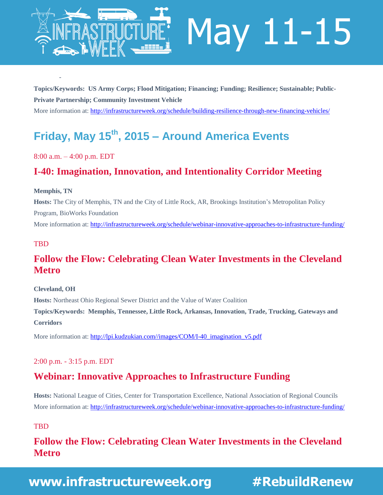

**Topics/Keywords: US Army Corps; Flood Mitigation; Financing; Funding; Resilience; Sustainable; Public-Private Partnership; Community Investment Vehicle**

More information at[: http://infrastructureweek.org/schedule/building-resilience-through-new-financing-vehicles/](http://infrastructureweek.org/schedule/building-resilience-through-new-financing-vehicles/)

# **Friday, May 15th, 2015 – Around America Events**

#### 8:00 a.m. – 4:00 p.m. EDT

-

## **I-40: Imagination, Innovation, and Intentionality Corridor Meeting**

#### **Memphis, TN**

**Hosts:** The City of Memphis, TN and the City of Little Rock, AR, Brookings Institution's Metropolitan Policy Program, BioWorks Foundation

More information at[: http://infrastructureweek.org/schedule/webinar-innovative-approaches-to-infrastructure-funding/](http://infrastructureweek.org/schedule/webinar-innovative-approaches-to-infrastructure-funding/)

#### **TBD**

## **[Follow the Flow: Celebrating Clean Water Investments in the Cleveland](http://infrastructureweek.org/schedule/follow-the-flow-celebrating-clean-water-investments-in-the-cleveland-metro/)  [Metro](http://infrastructureweek.org/schedule/follow-the-flow-celebrating-clean-water-investments-in-the-cleveland-metro/)**

#### **Cleveland, OH**

**Hosts:** Northeast Ohio Regional Sewer District and the Value of Water Coalition

**Topics/Keywords: Memphis, Tennessee, Little Rock, Arkansas, Innovation, Trade, Trucking, Gateways and Corridors**

More information at[: http://lpi.kudzukian.com//images/COM/I-40\\_imagination\\_v5.pdf](http://lpi.kudzukian.com/images/COM/I-40_imagination_v5.pdf)

#### 2:00 p.m. - 3:15 p.m. EDT

#### **[Webinar: Innovative Approaches to Infrastructure Funding](http://infrastructureweek.org/schedule/webinar-innovative-approaches-to-infrastructure-funding/)**

**Hosts:** National League of Cities, Center for Transportation Excellence, National Association of Regional Councils More information at[: http://infrastructureweek.org/schedule/webinar-innovative-approaches-to-infrastructure-funding/](http://infrastructureweek.org/schedule/webinar-innovative-approaches-to-infrastructure-funding/)

#### **TBD**

## **[Follow the Flow: Celebrating Clean Water Investments in the Cleveland](http://infrastructureweek.org/schedule/follow-the-flow-celebrating-clean-water-investments-in-the-cleveland-metro/)  [Metro](http://infrastructureweek.org/schedule/follow-the-flow-celebrating-clean-water-investments-in-the-cleveland-metro/)**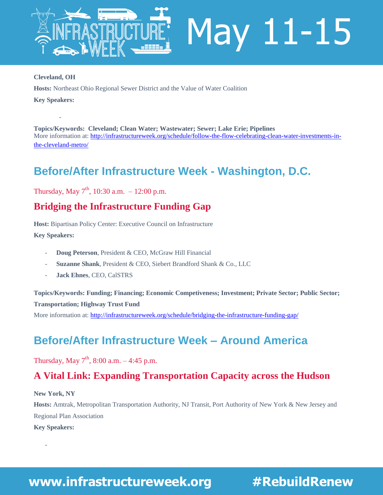

#### **Cleveland, OH**

**Hosts:** Northeast Ohio Regional Sewer District and the Value of Water Coalition

**Key Speakers:**

-

**Topics/Keywords: Cleveland; Clean Water; Wastewater; Sewer; Lake Erie; Pipelines** More information at[: http://infrastructureweek.org/schedule/follow-the-flow-celebrating-clean-water-investments-in](http://infrastructureweek.org/schedule/follow-the-flow-celebrating-clean-water-investments-in-the-cleveland-metro/)[the-cleveland-metro/](http://infrastructureweek.org/schedule/follow-the-flow-celebrating-clean-water-investments-in-the-cleveland-metro/)

# **Before/After Infrastructure Week - Washington, D.C.**

Thursday, May  $7^{\text{th}}$ , 10:30 a.m.  $-12:00$  p.m.

#### **Bridging the Infrastructure Funding Gap**

**Host:** Bipartisan Policy Center: Executive Council on Infrastructure

**Key Speakers:**

- **Doug Peterson**, President & CEO, McGraw Hill Financial
- **Suzanne Shank**, President & CEO, Siebert Brandford Shank & Co., LLC
- **Jack Ehnes**, CEO, CalSTRS

**Topics/Keywords: Funding; Financing; Economic Competiveness; Investment; Private Sector; Public Sector; Transportation; Highway Trust Fund**

More information at[: http://infrastructureweek.org/schedule/bridging-the-infrastructure-funding-gap/](http://infrastructureweek.org/schedule/bridging-the-infrastructure-funding-gap/)

# **Before/After Infrastructure Week – Around America**

Thursday, May  $7^{th}$ , 8:00 a.m.  $-4:45$  p.m.

#### **A Vital Link: Expanding Transportation Capacity across the Hudson**

**New York, NY**

**Hosts:** Amtrak, Metropolitan Transportation Authority, NJ Transit, Port Authority of New York & New Jersey and Regional Plan Association

**Key Speakers:**

-